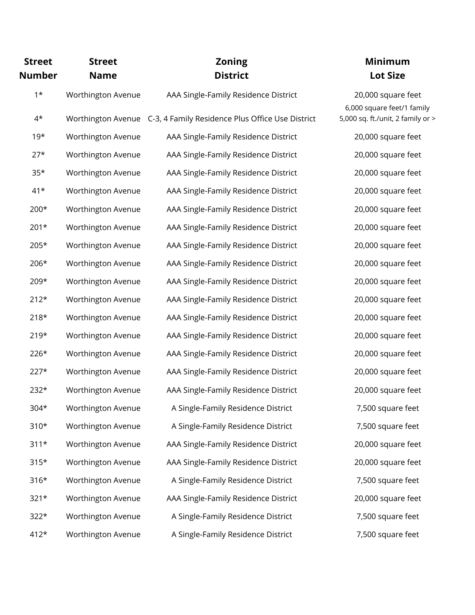| <b>Street</b><br><b>Number</b> | <b>Street</b><br><b>Name</b> | <b>Zoning</b><br><b>District</b>                                    | <b>Minimum</b><br><b>Lot Size</b>                |
|--------------------------------|------------------------------|---------------------------------------------------------------------|--------------------------------------------------|
| $1*$                           | Worthington Avenue           | AAA Single-Family Residence District                                | 20,000 square feet<br>6,000 square feet/1 family |
| $4^{\star}$                    |                              | Worthington Avenue C-3, 4 Family Residence Plus Office Use District | 5,000 sq. ft./unit, 2 family or >                |
| $19*$                          | Worthington Avenue           | AAA Single-Family Residence District                                | 20,000 square feet                               |
| $27*$                          | Worthington Avenue           | AAA Single-Family Residence District                                | 20,000 square feet                               |
| $35*$                          | Worthington Avenue           | AAA Single-Family Residence District                                | 20,000 square feet                               |
| $41*$                          | Worthington Avenue           | AAA Single-Family Residence District                                | 20,000 square feet                               |
| 200*                           | Worthington Avenue           | AAA Single-Family Residence District                                | 20,000 square feet                               |
| $201*$                         | Worthington Avenue           | AAA Single-Family Residence District                                | 20,000 square feet                               |
| 205*                           | Worthington Avenue           | AAA Single-Family Residence District                                | 20,000 square feet                               |
| 206*                           | Worthington Avenue           | AAA Single-Family Residence District                                | 20,000 square feet                               |
| 209*                           | Worthington Avenue           | AAA Single-Family Residence District                                | 20,000 square feet                               |
| $212*$                         | Worthington Avenue           | AAA Single-Family Residence District                                | 20,000 square feet                               |
| $218*$                         | Worthington Avenue           | AAA Single-Family Residence District                                | 20,000 square feet                               |
| $219*$                         | Worthington Avenue           | AAA Single-Family Residence District                                | 20,000 square feet                               |
| $226*$                         | Worthington Avenue           | AAA Single-Family Residence District                                | 20,000 square feet                               |
| $227*$                         | Worthington Avenue           | AAA Single-Family Residence District                                | 20,000 square feet                               |
| $232*$                         | Worthington Avenue           | AAA Single-Family Residence District                                | 20,000 square feet                               |
| 304*                           | Worthington Avenue           | A Single-Family Residence District                                  | 7,500 square feet                                |
| $310*$                         | Worthington Avenue           | A Single-Family Residence District                                  | 7,500 square feet                                |
| $311*$                         | Worthington Avenue           | AAA Single-Family Residence District                                | 20,000 square feet                               |
| $315*$                         | Worthington Avenue           | AAA Single-Family Residence District                                | 20,000 square feet                               |
| $316*$                         | Worthington Avenue           | A Single-Family Residence District                                  | 7,500 square feet                                |
| $321*$                         | Worthington Avenue           | AAA Single-Family Residence District                                | 20,000 square feet                               |
| $322*$                         | Worthington Avenue           | A Single-Family Residence District                                  | 7,500 square feet                                |
| $412*$                         | Worthington Avenue           | A Single-Family Residence District                                  | 7,500 square feet                                |